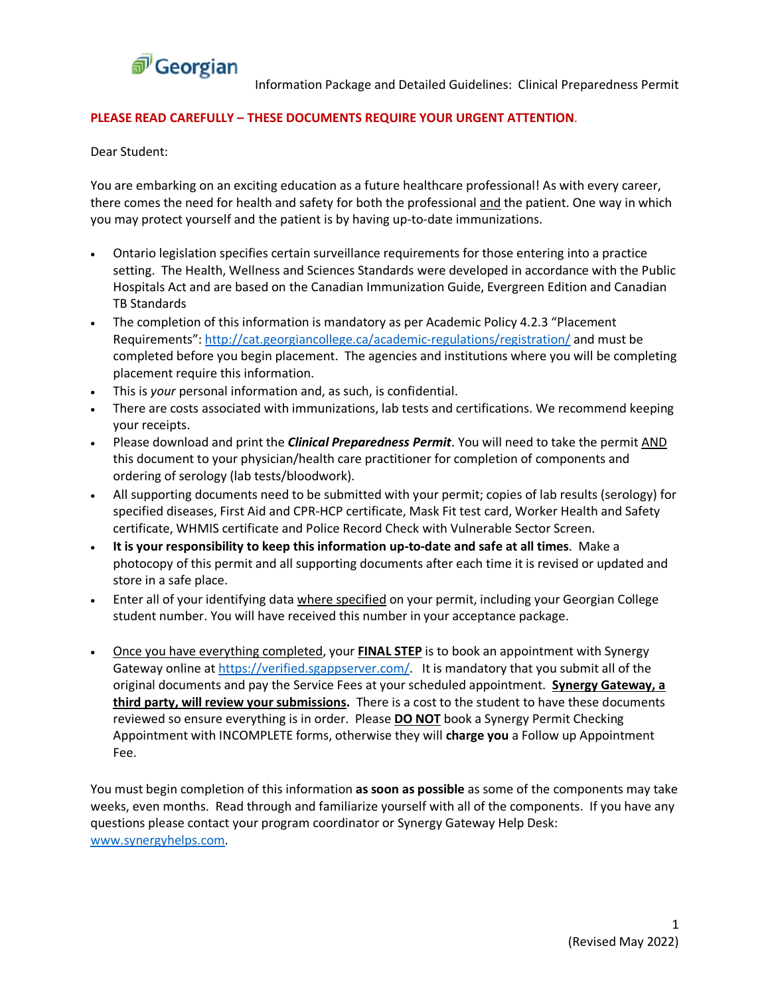

### **PLEASE READ CAREFULLY – THESE DOCUMENTS REQUIRE YOUR URGENT ATTENTION**.

Dear Student:

You are embarking on an exciting education as a future healthcare professional! As with every career, there comes the need for health and safety for both the professional and the patient. One way in which you may protect yourself and the patient is by having up-to-date immunizations.

- Ontario legislation specifies certain surveillance requirements for those entering into a practice setting. The Health, Wellness and Sciences Standards were developed in accordance with the Public Hospitals Act and are based on the Canadian Immunization Guide, Evergreen Edition and Canadian TB Standards
- The completion of this information is mandatory as per Academic Policy 4.2.3 "Placement Requirements":<http://cat.georgiancollege.ca/academic-regulations/registration/> and must be completed before you begin placement. The agencies and institutions where you will be completing placement require this information.
- This is *your* personal information and, as such, is confidential.
- There are costs associated with immunizations, lab tests and certifications. We recommend keeping your receipts.
- Please download and print the *Clinical Preparedness Permit*. You will need to take the permit AND this document to your physician/health care practitioner for completion of components and ordering of serology (lab tests/bloodwork).
- All supporting documents need to be submitted with your permit; copies of lab results (serology) for specified diseases, First Aid and CPR-HCP certificate, Mask Fit test card, Worker Health and Safety certificate, WHMIS certificate and Police Record Check with Vulnerable Sector Screen.
- **It is your responsibility to keep this information up-to-date and safe at all times**. Make a photocopy of this permit and all supporting documents after each time it is revised or updated and store in a safe place.
- Enter all of your identifying data where specified on your permit, including your Georgian College student number. You will have received this number in your acceptance package.
- Once you have everything completed, your **FINAL STEP** is to book an appointment with Synergy Gateway online at [https://verified.sgappserver.com/.](https://verified.sgappserver.com/) It is mandatory that you submit all of the original documents and pay the Service Fees at your scheduled appointment. **Synergy Gateway, a third party, will review your submissions.** There is a cost to the student to have these documents reviewed so ensure everything is in order. Please **DO NOT** book a Synergy Permit Checking Appointment with INCOMPLETE forms, otherwise they will **charge you** a Follow up Appointment Fee.

You must begin completion of this information **as soon as possible** as some of the components may take weeks, even months. Read through and familiarize yourself with all of the components. If you have any questions please contact your program coordinator or Synergy Gateway Help Desk: [www.synergyhelps.com.](http://www.synergyhelps.com/)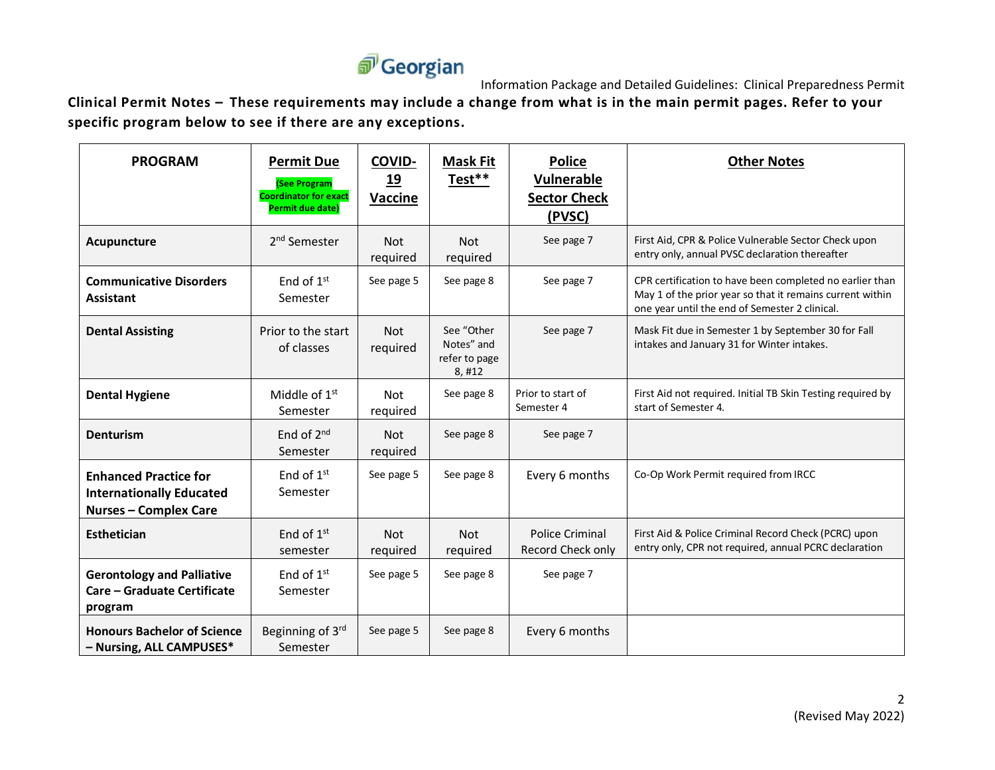# *<u>n*Georgian</u>

Information Package and Detailed Guidelines: Clinical Preparedness Permit

**Clinical Permit Notes – These requirements may include a change from what is in the main permit pages. Refer to your specific program below to see if there are any exceptions.**

| <b>PROGRAM</b>                                                                                  | <b>Permit Due</b><br>(See Program<br><b>Coordinator for exact</b><br>Permit due date) | <b>COVID-</b><br>19<br>Vaccine | <b>Mask Fit</b><br>Test**                          | <b>Police</b><br><b>Vulnerable</b><br><b>Sector Check</b><br>(PVSC) | <b>Other Notes</b>                                                                                                                                                      |
|-------------------------------------------------------------------------------------------------|---------------------------------------------------------------------------------------|--------------------------------|----------------------------------------------------|---------------------------------------------------------------------|-------------------------------------------------------------------------------------------------------------------------------------------------------------------------|
| Acupuncture                                                                                     | 2 <sup>nd</sup> Semester                                                              | <b>Not</b><br>required         | <b>Not</b><br>required                             | See page 7                                                          | First Aid, CPR & Police Vulnerable Sector Check upon<br>entry only, annual PVSC declaration thereafter                                                                  |
| <b>Communicative Disorders</b><br><b>Assistant</b>                                              | End of $1st$<br>Semester                                                              | See page 5                     | See page 8                                         | See page 7                                                          | CPR certification to have been completed no earlier than<br>May 1 of the prior year so that it remains current within<br>one year until the end of Semester 2 clinical. |
| <b>Dental Assisting</b>                                                                         | Prior to the start<br>of classes                                                      | <b>Not</b><br>required         | See "Other<br>Notes" and<br>refer to page<br>8,#12 | See page 7                                                          | Mask Fit due in Semester 1 by September 30 for Fall<br>intakes and January 31 for Winter intakes.                                                                       |
| <b>Dental Hygiene</b>                                                                           | Middle of $1st$<br>Semester                                                           | <b>Not</b><br>required         | See page 8                                         | Prior to start of<br>Semester 4                                     | First Aid not required. Initial TB Skin Testing required by<br>start of Semester 4.                                                                                     |
| <b>Denturism</b>                                                                                | End of $2^{nd}$<br>Semester                                                           | <b>Not</b><br>required         | See page 8                                         | See page 7                                                          |                                                                                                                                                                         |
| <b>Enhanced Practice for</b><br><b>Internationally Educated</b><br><b>Nurses - Complex Care</b> | End of $1st$<br>Semester                                                              | See page 5                     | See page 8                                         | Every 6 months                                                      | Co-Op Work Permit required from IRCC                                                                                                                                    |
| <b>Esthetician</b>                                                                              | End of $1st$<br>semester                                                              | <b>Not</b><br>required         | <b>Not</b><br>required                             | <b>Police Criminal</b><br>Record Check only                         | First Aid & Police Criminal Record Check (PCRC) upon<br>entry only, CPR not required, annual PCRC declaration                                                           |
| <b>Gerontology and Palliative</b><br>Care – Graduate Certificate<br>program                     | End of $1st$<br>Semester                                                              | See page 5                     | See page 8                                         | See page 7                                                          |                                                                                                                                                                         |
| <b>Honours Bachelor of Science</b><br>- Nursing, ALL CAMPUSES*                                  | Beginning of 3rd<br>Semester                                                          | See page 5                     | See page 8                                         | Every 6 months                                                      |                                                                                                                                                                         |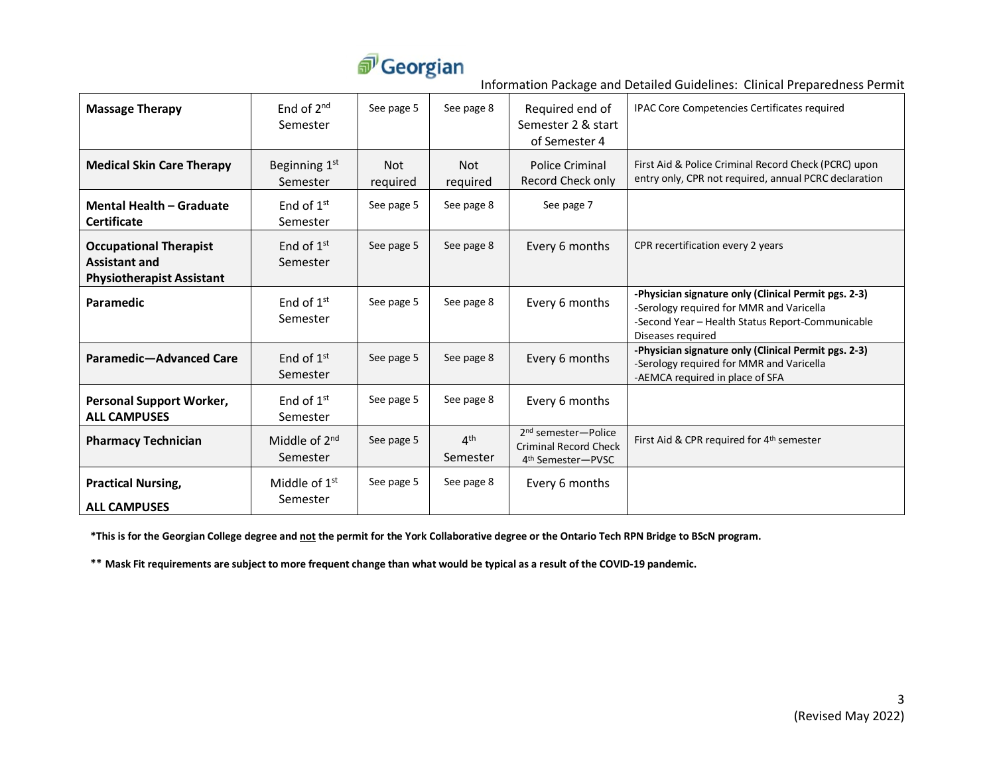

Information Package and Detailed Guidelines: Clinical Preparedness Permit

| <b>Massage Therapy</b>                                                                    | End of $2^{nd}$<br>Semester           | See page 5             | See page 8                  | Required end of<br>Semester 2 & start<br>of Semester 4                                           | IPAC Core Competencies Certificates required                                                                                                                              |
|-------------------------------------------------------------------------------------------|---------------------------------------|------------------------|-----------------------------|--------------------------------------------------------------------------------------------------|---------------------------------------------------------------------------------------------------------------------------------------------------------------------------|
| <b>Medical Skin Care Therapy</b>                                                          | Beginning 1 <sup>st</sup><br>Semester | <b>Not</b><br>required | <b>Not</b><br>required      | Police Criminal<br>Record Check only                                                             | First Aid & Police Criminal Record Check (PCRC) upon<br>entry only, CPR not required, annual PCRC declaration                                                             |
| <b>Mental Health - Graduate</b><br><b>Certificate</b>                                     | End of $1st$<br>Semester              | See page 5             | See page 8                  | See page 7                                                                                       |                                                                                                                                                                           |
| <b>Occupational Therapist</b><br><b>Assistant and</b><br><b>Physiotherapist Assistant</b> | End of $1st$<br>Semester              | See page 5             | See page 8                  | Every 6 months                                                                                   | CPR recertification every 2 years                                                                                                                                         |
| Paramedic                                                                                 | End of $1st$<br>Semester              | See page 5             | See page 8                  | Every 6 months                                                                                   | -Physician signature only (Clinical Permit pgs. 2-3)<br>-Serology required for MMR and Varicella<br>-Second Year - Health Status Report-Communicable<br>Diseases required |
| Paramedic-Advanced Care                                                                   | End of $1st$<br>Semester              | See page 5             | See page 8                  | Every 6 months                                                                                   | -Physician signature only (Clinical Permit pgs. 2-3)<br>-Serology required for MMR and Varicella<br>-AEMCA required in place of SFA                                       |
| <b>Personal Support Worker,</b><br><b>ALL CAMPUSES</b>                                    | End of $1st$<br>Semester              | See page 5             | See page 8                  | Every 6 months                                                                                   |                                                                                                                                                                           |
| <b>Pharmacy Technician</b>                                                                | Middle of 2 <sup>nd</sup><br>Semester | See page 5             | 4 <sup>th</sup><br>Semester | 2 <sup>nd</sup> semester-Police<br><b>Criminal Record Check</b><br>4 <sup>th</sup> Semester-PVSC | First Aid & CPR required for 4th semester                                                                                                                                 |
| <b>Practical Nursing,</b><br><b>ALL CAMPUSES</b>                                          | Middle of $1st$<br>Semester           | See page 5             | See page 8                  | Every 6 months                                                                                   |                                                                                                                                                                           |

**\*This is for the Georgian College degree and not the permit for the York Collaborative degree or the Ontario Tech RPN Bridge to BScN program.**

**\*\* Mask Fit requirements are subject to more frequent change than what would be typical as a result of the COVID-19 pandemic.**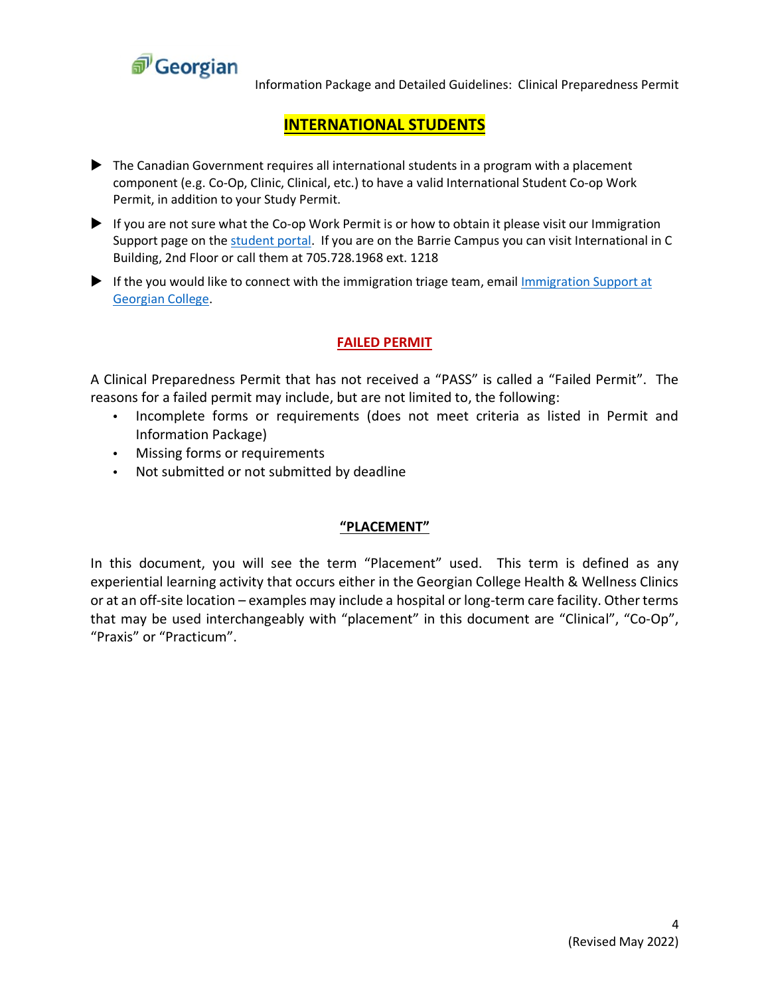

Information Package and Detailed Guidelines: Clinical Preparedness Permit

### **INTERNATIONAL STUDENTS**

- The Canadian Government requires all international students in a program with a placement component (e.g. Co-Op, Clinic, Clinical, etc.) to have a valid International Student Co-op Work Permit, in addition to your Study Permit.
- If you are not sure what the Co-op Work Permit is or how to obtain it please visit our Immigration Support page on the [student portal.](https://georgiancollege.sharepoint.com/sites/student/international/SitePages/International%20Student%20Advising.aspx) If you are on the Barrie Campus you can visit International in C Building, 2nd Floor or call them at 705.728.1968 ext. 1218
- If the you would like to connect with the immigration triage team, email Immigration Support at [Georgian College.](mailto:ImmigrationSupport@georgiancollege.ca)

### **FAILED PERMIT**

A Clinical Preparedness Permit that has not received a "PASS" is called a "Failed Permit". The reasons for a failed permit may include, but are not limited to, the following:

- Incomplete forms or requirements (does not meet criteria as listed in Permit and Information Package)
- Missing forms or requirements
- Not submitted or not submitted by deadline

### **"PLACEMENT"**

In this document, you will see the term "Placement" used. This term is defined as any experiential learning activity that occurs either in the Georgian College Health & Wellness Clinics or at an off-site location – examples may include a hospital or long-term care facility. Other terms that may be used interchangeably with "placement" in this document are "Clinical", "Co-Op", "Praxis" or "Practicum".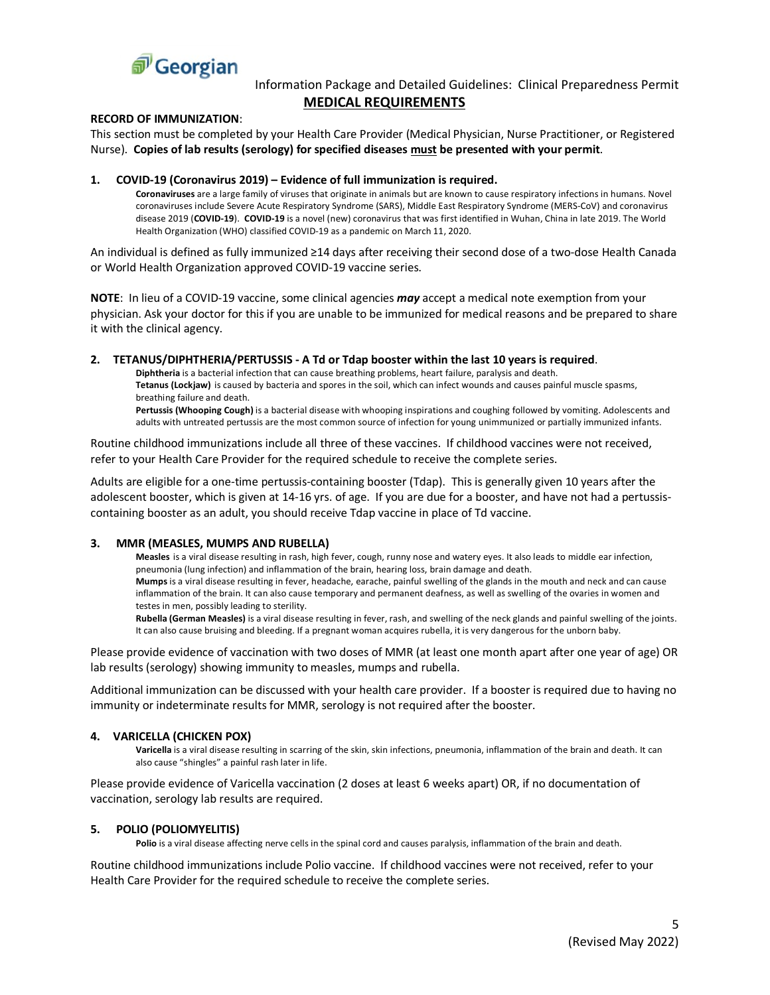

### Information Package and Detailed Guidelines: Clinical Preparedness Permit **MEDICAL REQUIREMENTS**

#### **RECORD OF IMMUNIZATION**:

This section must be completed by your Health Care Provider (Medical Physician, Nurse Practitioner, or Registered Nurse). **Copies of lab results (serology) for specified diseases must be presented with your permit**.

#### **1. COVID-19 (Coronavirus 2019) – Evidence of full immunization is required.**

**Coronaviruses** are a large family of viruses that originate in animals but are known to cause respiratory infections in humans. Novel coronaviruses include Severe Acute Respiratory Syndrome (SARS), Middle East Respiratory Syndrome (MERS-CoV) and coronavirus disease 2019 (**COVID-19**). **COVID-19** is a novel (new) coronavirus that was first identified in Wuhan, China in late 2019. The World Health Organization (WHO) classified COVID-19 as a pandemic on March 11, 2020.

An individual is defined as fully immunized ≥14 days after receiving their second dose of a two-dose Health Canada or World Health Organization approved COVID-19 vaccine series.

**NOTE**: In lieu of a COVID-19 vaccine, some clinical agencies *may* accept a medical note exemption from your physician. Ask your doctor for this if you are unable to be immunized for medical reasons and be prepared to share it with the clinical agency.

#### **2. TETANUS/DIPHTHERIA/PERTUSSIS - A Td or Tdap booster within the last 10 years is required**.

**Diphtheria** is a bacterial infection that can cause breathing problems, heart failure, paralysis and death. **Tetanus (Lockjaw)** is caused by bacteria and spores in the soil, which can infect wounds and causes painful muscle spasms, breathing failure and death.

**Pertussis (Whooping Cough)** is a bacterial disease with whooping inspirations and coughing followed by vomiting. Adolescents and adults with untreated pertussis are the most common source of infection for young unimmunized or partially immunized infants.

Routine childhood immunizations include all three of these vaccines. If childhood vaccines were not received, refer to your Health Care Provider for the required schedule to receive the complete series.

Adults are eligible for a one-time pertussis-containing booster (Tdap). This is generally given 10 years after the adolescent booster, which is given at 14-16 yrs. of age. If you are due for a booster, and have not had a pertussiscontaining booster as an adult, you should receive Tdap vaccine in place of Td vaccine.

### **3. MMR (MEASLES, MUMPS AND RUBELLA)**

**Measles** is a viral disease resulting in rash, high fever, cough, runny nose and watery eyes. It also leads to middle ear infection, pneumonia (lung infection) and inflammation of the brain, hearing loss, brain damage and death. **Mumps** is a viral disease resulting in fever, headache, earache, painful swelling of the glands in the mouth and neck and can cause inflammation of the brain. It can also cause temporary and permanent deafness, as well as swelling of the ovaries in women and testes in men, possibly leading to sterility.

**Rubella (German Measles)** is a viral disease resulting in fever, rash, and swelling of the neck glands and painful swelling of the joints. It can also cause bruising and bleeding. If a pregnant woman acquires rubella, it is very dangerous for the unborn baby.

Please provide evidence of vaccination with two doses of MMR (at least one month apart after one year of age) OR lab results (serology) showing immunity to measles, mumps and rubella.

Additional immunization can be discussed with your health care provider. If a booster is required due to having no immunity or indeterminate results for MMR, serology is not required after the booster.

### **4. VARICELLA (CHICKEN POX)**

**Varicella** is a viral disease resulting in scarring of the skin, skin infections, pneumonia, inflammation of the brain and death. It can also cause "shingles" a painful rash later in life.

Please provide evidence of Varicella vaccination (2 doses at least 6 weeks apart) OR, if no documentation of vaccination, serology lab results are required.

#### **5. POLIO (POLIOMYELITIS)**

**Polio** is a viral disease affecting nerve cells in the spinal cord and causes paralysis, inflammation of the brain and death.

Routine childhood immunizations include Polio vaccine. If childhood vaccines were not received, refer to your Health Care Provider for the required schedule to receive the complete series.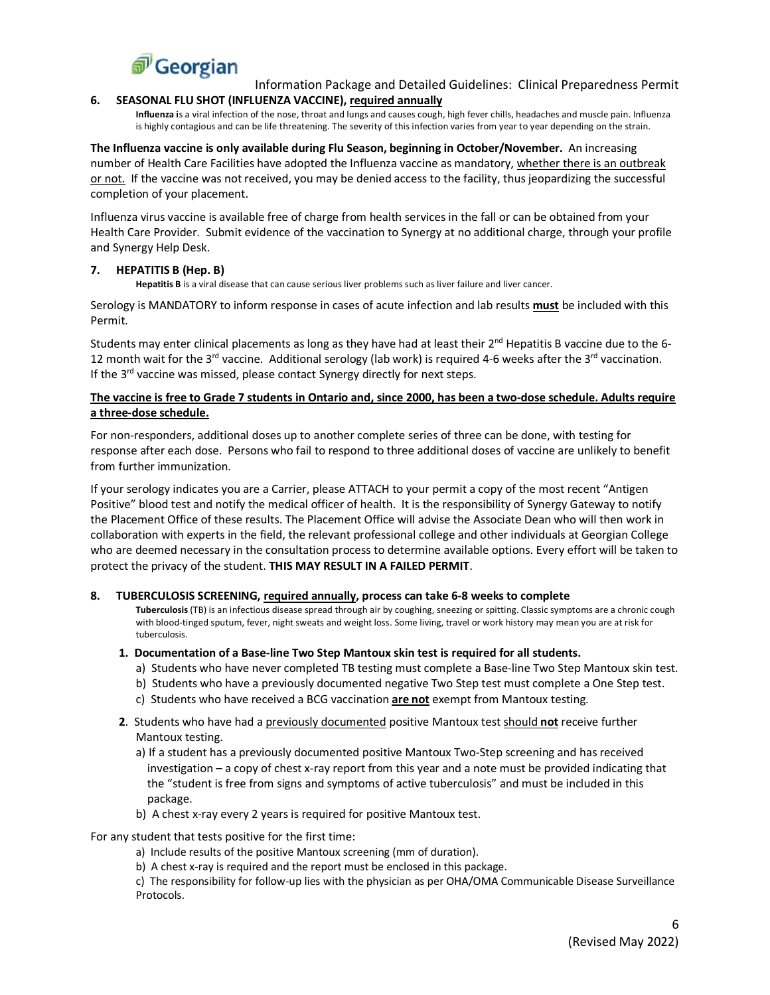

Information Package and Detailed Guidelines: Clinical Preparedness Permit

### **6. SEASONAL FLU SHOT (INFLUENZA VACCINE), required annually**

**Influenza i**s a viral infection of the nose, throat and lungs and causes cough, high fever chills, headaches and muscle pain. Influenza is highly contagious and can be life threatening. The severity of this infection varies from year to year depending on the strain.

**The Influenza vaccine is only available during Flu Season, beginning in October/November.** An increasing number of Health Care Facilities have adopted the Influenza vaccine as mandatory, whether there is an outbreak or not. If the vaccine was not received, you may be denied access to the facility, thus jeopardizing the successful completion of your placement.

Influenza virus vaccine is available free of charge from health services in the fall or can be obtained from your Health Care Provider. Submit evidence of the vaccination to Synergy at no additional charge, through your profile and Synergy Help Desk.

### **7. HEPATITIS B (Hep. B)**

**Hepatitis B** is a viral disease that can cause serious liver problems such as liver failure and liver cancer.

Serology is MANDATORY to inform response in cases of acute infection and lab results **must** be included with this Permit.

Students may enter clinical placements as long as they have had at least their  $2^{nd}$  Hepatitis B vaccine due to the 6-12 month wait for the 3<sup>rd</sup> vaccine. Additional serology (lab work) is required 4-6 weeks after the 3<sup>rd</sup> vaccination. If the  $3^{rd}$  vaccine was missed, please contact Synergy directly for next steps.

### **The vaccine is free to Grade 7 students in Ontario and, since 2000, has been a two-dose schedule. Adults require a three-dose schedule.**

For non-responders, additional doses up to another complete series of three can be done, with testing for response after each dose. Persons who fail to respond to three additional doses of vaccine are unlikely to benefit from further immunization.

If your serology indicates you are a Carrier, please ATTACH to your permit a copy of the most recent "Antigen Positive" blood test and notify the medical officer of health. It is the responsibility of Synergy Gateway to notify the Placement Office of these results. The Placement Office will advise the Associate Dean who will then work in collaboration with experts in the field, the relevant professional college and other individuals at Georgian College who are deemed necessary in the consultation process to determine available options. Every effort will be taken to protect the privacy of the student. **THIS MAY RESULT IN A FAILED PERMIT**.

### **8. TUBERCULOSIS SCREENING, required annually, process can take 6-8 weeks to complete**

**Tuberculosis** (TB) is an infectious disease spread through air by coughing, sneezing or spitting. Classic symptoms are a chronic cough with blood-tinged sputum, fever, night sweats and weight loss. Some living, travel or work history may mean you are at risk for tuberculosis.

### **1. Documentation of a Base-line Two Step Mantoux skin test is required for all students.**

- a) Students who have never completed TB testing must complete a Base-line Two Step Mantoux skin test.
- b) Students who have a previously documented negative Two Step test must complete a One Step test.
- c) Students who have received a BCG vaccination **are not** exempt from Mantoux testing.
- **2**. Students who have had a previously documented positive Mantoux test should **not** receive further Mantoux testing.
	- a) If a student has a previously documented positive Mantoux Two-Step screening and has received investigation – a copy of chest x-ray report from this year and a note must be provided indicating that the "student is free from signs and symptoms of active tuberculosis" and must be included in this package.
	- b) A chest x-ray every 2 years is required for positive Mantoux test.

For any student that tests positive for the first time:

- a) Include results of the positive Mantoux screening (mm of duration).
- b) A chest x-ray is required and the report must be enclosed in this package.

c) The responsibility for follow-up lies with the physician as per OHA/OMA Communicable Disease Surveillance Protocols.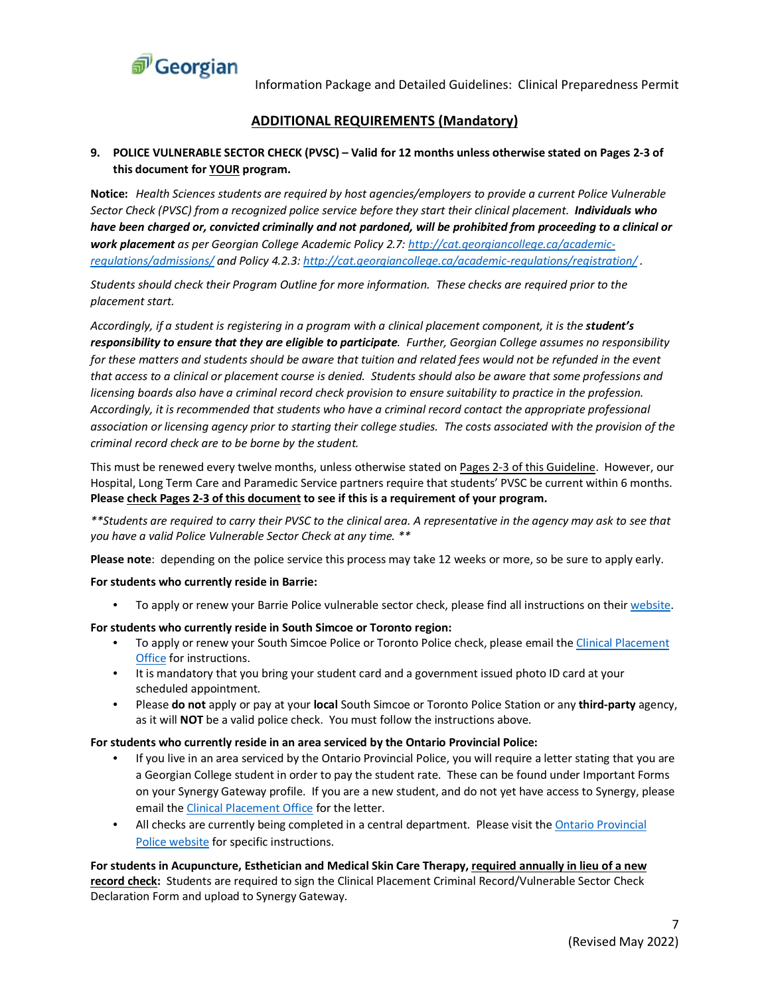

### **ADDITIONAL REQUIREMENTS (Mandatory)**

### **9. POLICE VULNERABLE SECTOR CHECK (PVSC) – Valid for 12 months unless otherwise stated on Pages 2-3 of this document for YOUR program.**

**Notice:** *Health Sciences students are required by host agencies/employers to provide a current Police Vulnerable Sector Check (PVSC) from a recognized police service before they start their clinical placement. Individuals who have been charged or, convicted criminally and not pardoned, will be prohibited from proceeding to a clinical or work placement as per Georgian College Academic Policy 2.7[: http://cat.georgiancollege.ca/academic](http://cat.georgiancollege.ca/academic-regulations/admissions/)[regulations/admissions/](http://cat.georgiancollege.ca/academic-regulations/admissions/) and Policy 4.2.3[: http://cat.georgiancollege.ca/academic-regulations/registration/](http://cat.georgiancollege.ca/academic-regulations/registration/) .*

*Students should check their Program Outline for more information. These checks are required prior to the placement start.*

*Accordingly, if a student is registering in a program with a clinical placement component, it is the student's responsibility to ensure that they are eligible to participate. Further, Georgian College assumes no responsibility*  for these matters and students should be aware that tuition and related fees would not be refunded in the event *that access to a clinical or placement course is denied. Students should also be aware that some professions and licensing boards also have a criminal record check provision to ensure suitability to practice in the profession. Accordingly, it is recommended that students who have a criminal record contact the appropriate professional association or licensing agency prior to starting their college studies. The costs associated with the provision of the criminal record check are to be borne by the student.*

This must be renewed every twelve months, unless otherwise stated on Pages 2-3 of this Guideline. However, our Hospital, Long Term Care and Paramedic Service partners require that students' PVSC be current within 6 months. **Please check Pages 2-3 of this document to see if this is a requirement of your program.**

*\*\*Students are required to carry their PVSC to the clinical area. A representative in the agency may ask to see that you have a valid Police Vulnerable Sector Check at any time. \*\**

**Please note**: depending on the police service this process may take 12 weeks or more, so be sure to apply early.

### **For students who currently reside in Barrie:**

• To apply or renew your Barrie Police vulnerable sector check, please find all instructions on thei[r website.](http://www.policesolutions.ca/checks/services/barrie/index.php)

### **For students who currently reside in South Simcoe or Toronto region:**

- To apply or renew your South Simcoe Police or Toronto Police check, please email the Clinical Placement [Office](mailto:ClinicalPlacementOffice@GeorgianCollege.ca) for instructions.
- It is mandatory that you bring your student card and a government issued photo ID card at your scheduled appointment.
- Please **do not** apply or pay at your **local** South Simcoe or Toronto Police Station or any **third-party** agency, as it will **NOT** be a valid police check. You must follow the instructions above.

### **For students who currently reside in an area serviced by the Ontario Provincial Police:**

- If you live in an area serviced by the Ontario Provincial Police, you will require a letter stating that you are a Georgian College student in order to pay the student rate. These can be found under Important Forms on your Synergy Gateway profile. If you are a new student, and do not yet have access to Synergy, please email th[e Clinical Placement Office](mailto:ClinicalPlacementOffice@GeorgianCollege.ca) for the letter.
- All checks are currently being completed in a central department. Please visit the Ontario Provincial [Police website](https://www.opp.ca/index.php?id=115&entryid=56a1276d8f94acdb5824a3d7) for specific instructions.

**For students in Acupuncture, Esthetician and Medical Skin Care Therapy, required annually in lieu of a new record check:** Students are required to sign the Clinical Placement Criminal Record/Vulnerable Sector Check Declaration Form and upload to Synergy Gateway.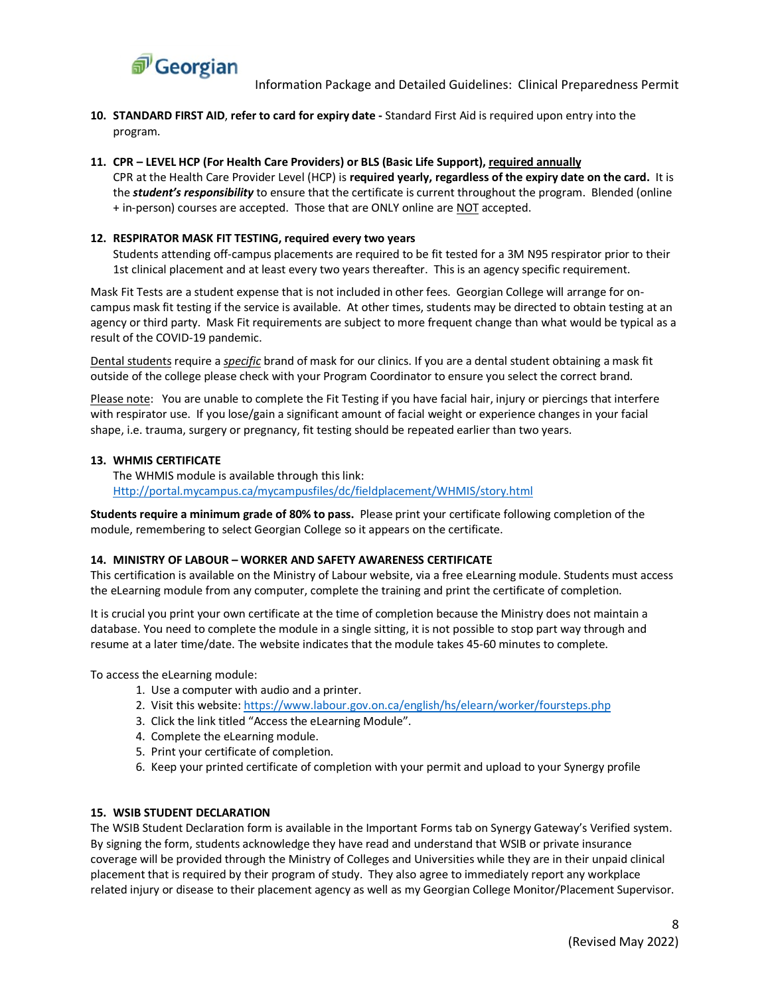

- **10. STANDARD FIRST AID**, **refer to card for expiry date -** Standard First Aid is required upon entry into the program.
- **11. CPR – LEVEL HCP (For Health Care Providers) or BLS (Basic Life Support), required annually**

CPR at the Health Care Provider Level (HCP) is **required yearly, regardless of the expiry date on the card.** It is the *student's responsibility* to ensure that the certificate is current throughout the program. Blended (online + in-person) courses are accepted. Those that are ONLY online are NOT accepted.

### **12. RESPIRATOR MASK FIT TESTING, required every two years**

Students attending off-campus placements are required to be fit tested for a 3M N95 respirator prior to their 1st clinical placement and at least every two years thereafter. This is an agency specific requirement.

Mask Fit Tests are a student expense that is not included in other fees. Georgian College will arrange for oncampus mask fit testing if the service is available. At other times, students may be directed to obtain testing at an agency or third party. Mask Fit requirements are subject to more frequent change than what would be typical as a result of the COVID-19 pandemic.

Dental students require a *specific* brand of mask for our clinics. If you are a dental student obtaining a mask fit outside of the college please check with your Program Coordinator to ensure you select the correct brand.

Please note: You are unable to complete the Fit Testing if you have facial hair, injury or piercings that interfere with respirator use. If you lose/gain a significant amount of facial weight or experience changes in your facial shape, i.e. trauma, surgery or pregnancy, fit testing should be repeated earlier than two years.

### **13. WHMIS CERTIFICATE**

The WHMIS module is available through this link: [Http://portal.mycampus.ca/mycampusfiles/dc/fieldplacement/WHMIS/story.html](http://portal.mycampus.ca/mycampusfiles/dc/fieldplacement/WHMIS/story.html) 

**Students require a minimum grade of 80% to pass.** Please print your certificate following completion of the module, remembering to select Georgian College so it appears on the certificate.

### **14. MINISTRY OF LABOUR – WORKER AND SAFETY AWARENESS CERTIFICATE**

This certification is available on the Ministry of Labour website, via a free eLearning module. Students must access the eLearning module from any computer, complete the training and print the certificate of completion.

It is crucial you print your own certificate at the time of completion because the Ministry does not maintain a database. You need to complete the module in a single sitting, it is not possible to stop part way through and resume at a later time/date. The website indicates that the module takes 45-60 minutes to complete.

To access the eLearning module:

- 1. Use a computer with audio and a printer.
- 2. Visit this website:<https://www.labour.gov.on.ca/english/hs/elearn/worker/foursteps.php>
- 3. Click the link titled "Access the eLearning Module".
- 4. Complete the eLearning module.
- 5. Print your certificate of completion.
- 6. Keep your printed certificate of completion with your permit and upload to your Synergy profile

### **15. WSIB STUDENT DECLARATION**

The WSIB Student Declaration form is available in the Important Forms tab on Synergy Gateway's Verified system. By signing the form, students acknowledge they have read and understand that WSIB or private insurance coverage will be provided through the Ministry of Colleges and Universities while they are in their unpaid clinical placement that is required by their program of study. They also agree to immediately report any workplace related injury or disease to their placement agency as well as my Georgian College Monitor/Placement Supervisor.